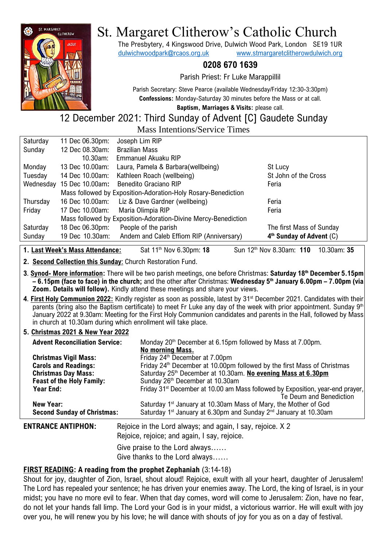

# St. Margaret Clitherow's Catholic Church

The Presbytery, 4 Kingswood Drive, Dulwich Wood Park, London SE19 1UR [dulwichwoodpark@rcaos.org.uk](mailto:dulwichwoodpark@rcaos.org.uk) [www.stmargaretclitherowdulwich.org](http://www.stmargaretclitherowdulwich.org/)

# **0208 670 1639**

Parish Priest: Fr Luke Marappillil

Parish Secretary: Steve Pearce (available Wednesday/Friday 12:30-3:30pm) **Confessions:** Monday-Saturday 30 minutes before the Mass or at call.

**Baptism, Marriages & Visits:** please call.

# 12 December 2021: Third Sunday of Advent [C] Gaudete Sunday Mass Intentions/Service Times

| Saturday                                                       | 11 Dec 06.30pm: | Joseph Lim RIP                           |                            |
|----------------------------------------------------------------|-----------------|------------------------------------------|----------------------------|
| Sunday                                                         | 12 Dec 08.30am: | <b>Brazilian Mass</b>                    |                            |
|                                                                | 10.30am:        | Emmanuel Akuaku RIP                      |                            |
| Monday                                                         | 13 Dec 10.00am: | Laura, Pamela & Barbara(wellbeing)       | St Lucy                    |
| Tuesday                                                        | 14 Dec 10.00am: | Kathleen Roach (wellbeing)               | St John of the Cross       |
| Wednesday                                                      | 15 Dec 10.00am: | Benedito Graciano RIP                    | Feria                      |
| Mass followed by Exposition-Adoration-Holy Rosary-Benediction  |                 |                                          |                            |
| Thursday                                                       | 16 Dec 10.00am: | Liz & Dave Gardner (wellbeing)           | Feria                      |
| Friday                                                         | 17 Dec 10.00am: | Maria Olimpia RIP                        | Feria                      |
| Mass followed by Exposition-Adoration-Divine Mercy-Benediction |                 |                                          |                            |
| Saturday                                                       | 18 Dec 06.30pm: | People of the parish                     | The first Mass of Sunday   |
| Sunday                                                         | 19 Dec 10.30am: | Andem and Caleb Effiom RIP (Anniversary) | $4th$ Sunday of Advent (C) |
|                                                                |                 |                                          |                            |

**1. Last Week's Mass Attendance:** Sat 11th Nov 6.30pm: **18** Sun 12th Nov 8.30am: **110** 10.30am: **35**

**2. Second Collection this Sunday**: Church Restoration Fund.

- **3**. **Synod- More information:** There will be two parish meetings, one before Christmas: **Saturday 18th December 5.15pm – 6.15pm (face to face) in the church;** and the other after Christmas: **Wednesday 5th January 6.00pm – 7.00pm (via Zoom. Details will follow).** Kindly attend these meetings and share your views.
- **4**. **First Holy Communion 2022:** Kindly register as soon as possible, latest by 31st December 2021. Candidates with their parents (bring also the Baptism certificate) to meet Fr Luke any day of the week with prior appointment. Sunday 9<sup>th</sup> January 2022 at 9.30am: Meeting for the First Holy Communion candidates and parents in the Hall, followed by Mass in church at 10.30am during which enrollment will take place.

#### **5. Christmas 2021 & New Year 2022**

| <b>Advent Reconciliation Service:</b> | Monday 20 <sup>th</sup> December at 6.15pm followed by Mass at 7.00pm.                     |  |
|---------------------------------------|--------------------------------------------------------------------------------------------|--|
|                                       | No morning Mass.                                                                           |  |
| <b>Christmas Vigil Mass:</b>          | Friday 24 <sup>th</sup> December at 7.00pm                                                 |  |
| <b>Carols and Readings:</b>           | Friday 24 <sup>th</sup> December at 10.00pm followed by the first Mass of Christmas        |  |
| <b>Christmas Day Mass:</b>            | Saturday 25th December at 10.30am. No evening Mass at 6.30pm                               |  |
| <b>Feast of the Holy Family:</b>      | Sunday 26 <sup>th</sup> December at 10.30am                                                |  |
| Year End:                             | Friday 31 <sup>st</sup> December at 10.00 am Mass followed by Exposition, year-end prayer, |  |
|                                       | Te Deum and Benediction                                                                    |  |
| New Year:                             | Saturday 1 <sup>st</sup> January at 10.30am Mass of Mary, the Mother of God                |  |
| <b>Second Sunday of Christmas:</b>    | Saturday 1 <sup>st</sup> January at 6.30pm and Sunday 2 <sup>nd</sup> January at 10.30am   |  |
|                                       |                                                                                            |  |

**ENTRANCE ANTIPHON:** Rejoice in the Lord always; and again, I say, rejoice. X 2 Rejoice, rejoice; and again, I say, rejoice. Give praise to the Lord always…… Give thanks to the Lord always……

# **FIRST READING: A reading from the prophet Zephaniah** (3:14-18)

Shout for joy, daughter of Zion, Israel, shout aloud! Rejoice, exult with all your heart, daughter of Jerusalem! The Lord has repealed your sentence; he has driven your enemies away. The Lord, the king of Israel, is in your midst; you have no more evil to fear. When that day comes, word will come to Jerusalem: Zion, have no fear, do not let your hands fall limp. The Lord your God is in your midst, a victorious warrior. He will exult with joy over you, he will renew you by his love; he will dance with shouts of joy for you as on a day of festival.